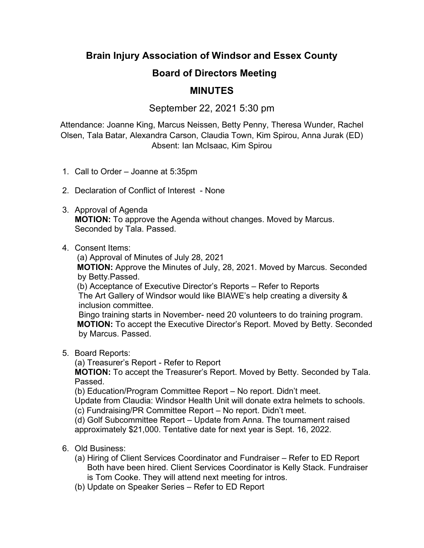**Brain Injury Association of Windsor and Essex County**

## **Board of Directors Meeting**

## **MINUTES**

September 22, 2021 5:30 pm

Attendance: Joanne King, Marcus Neissen, Betty Penny, Theresa Wunder, Rachel Olsen, Tala Batar, Alexandra Carson, Claudia Town, Kim Spirou, Anna Jurak (ED) Absent: Ian McIsaac, Kim Spirou

- 1. Call to Order Joanne at 5:35pm
- 2. Declaration of Conflict of Interest None
- 3. Approval of Agenda **MOTION:** To approve the Agenda without changes. Moved by Marcus. Seconded by Tala. Passed.
- 4. Consent Items:

(a) Approval of Minutes of July 28, 2021

**MOTION:** Approve the Minutes of July, 28, 2021. Moved by Marcus. Seconded by Betty.Passed.

(b) Acceptance of Executive Director's Reports – Refer to Reports The Art Gallery of Windsor would like BIAWE's help creating a diversity & inclusion committee.

 Bingo training starts in November- need 20 volunteers to do training program. **MOTION:** To accept the Executive Director's Report. Moved by Betty. Seconded by Marcus. Passed.

5. Board Reports:

(a) Treasurer's Report - Refer to Report

**MOTION:** To accept the Treasurer's Report. Moved by Betty. Seconded by Tala. Passed.

(b) Education/Program Committee Report – No report. Didn't meet.

Update from Claudia: Windsor Health Unit will donate extra helmets to schools. (c) Fundraising/PR Committee Report – No report. Didn't meet.

(d) Golf Subcommittee Report – Update from Anna. The tournament raised approximately \$21,000. Tentative date for next year is Sept. 16, 2022.

- 6. Old Business:
	- (a) Hiring of Client Services Coordinator and Fundraiser Refer to ED Report Both have been hired. Client Services Coordinator is Kelly Stack. Fundraiser is Tom Cooke. They will attend next meeting for intros.
	- (b) Update on Speaker Series Refer to ED Report